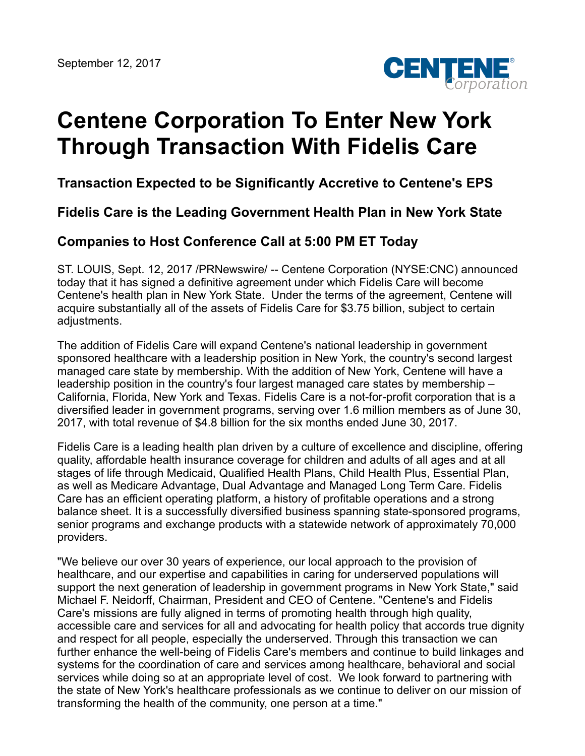

# **Centene Corporation To Enter New York Through Transaction With Fidelis Care**

**Transaction Expected to be Significantly Accretive to Centene's EPS**

**Fidelis Care is the Leading Government Health Plan in New York State**

# **Companies to Host Conference Call at 5:00 PM ET Today**

ST. LOUIS, Sept. 12, 2017 /PRNewswire/ -- Centene Corporation (NYSE:CNC) announced today that it has signed a definitive agreement under which Fidelis Care will become Centene's health plan in New York State. Under the terms of the agreement, Centene will acquire substantially all of the assets of Fidelis Care for \$3.75 billion, subject to certain adjustments.

The addition of Fidelis Care will expand Centene's national leadership in government sponsored healthcare with a leadership position in New York, the country's second largest managed care state by membership. With the addition of New York, Centene will have a leadership position in the country's four largest managed care states by membership – California, Florida, New York and Texas. Fidelis Care is a not-for-profit corporation that is a diversified leader in government programs, serving over 1.6 million members as of June 30, 2017, with total revenue of \$4.8 billion for the six months ended June 30, 2017.

Fidelis Care is a leading health plan driven by a culture of excellence and discipline, offering quality, affordable health insurance coverage for children and adults of all ages and at all stages of life through Medicaid, Qualified Health Plans, Child Health Plus, Essential Plan, as well as Medicare Advantage, Dual Advantage and Managed Long Term Care. Fidelis Care has an efficient operating platform, a history of profitable operations and a strong balance sheet. It is a successfully diversified business spanning state-sponsored programs, senior programs and exchange products with a statewide network of approximately 70,000 providers.

"We believe our over 30 years of experience, our local approach to the provision of healthcare, and our expertise and capabilities in caring for underserved populations will support the next generation of leadership in government programs in New York State," said Michael F. Neidorff, Chairman, President and CEO of Centene. "Centene's and Fidelis Care's missions are fully aligned in terms of promoting health through high quality, accessible care and services for all and advocating for health policy that accords true dignity and respect for all people, especially the underserved. Through this transaction we can further enhance the well-being of Fidelis Care's members and continue to build linkages and systems for the coordination of care and services among healthcare, behavioral and social services while doing so at an appropriate level of cost. We look forward to partnering with the state of New York's healthcare professionals as we continue to deliver on our mission of transforming the health of the community, one person at a time."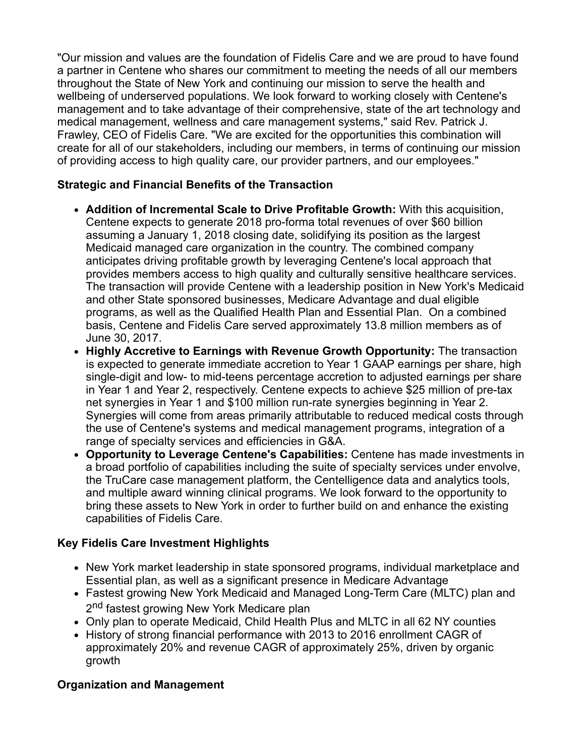"Our mission and values are the foundation of Fidelis Care and we are proud to have found a partner in Centene who shares our commitment to meeting the needs of all our members throughout the State of New York and continuing our mission to serve the health and wellbeing of underserved populations. We look forward to working closely with Centene's management and to take advantage of their comprehensive, state of the art technology and medical management, wellness and care management systems," said Rev. Patrick J. Frawley, CEO of Fidelis Care. "We are excited for the opportunities this combination will create for all of our stakeholders, including our members, in terms of continuing our mission of providing access to high quality care, our provider partners, and our employees."

## **Strategic and Financial Benefits of the Transaction**

- **Addition of Incremental Scale to Drive Profitable Growth:** With this acquisition, Centene expects to generate 2018 pro-forma total revenues of over \$60 billion assuming a January 1, 2018 closing date, solidifying its position as the largest Medicaid managed care organization in the country. The combined company anticipates driving profitable growth by leveraging Centene's local approach that provides members access to high quality and culturally sensitive healthcare services. The transaction will provide Centene with a leadership position in New York's Medicaid and other State sponsored businesses, Medicare Advantage and dual eligible programs, as well as the Qualified Health Plan and Essential Plan. On a combined basis, Centene and Fidelis Care served approximately 13.8 million members as of June 30, 2017.
- **Highly Accretive to Earnings with Revenue Growth Opportunity:** The transaction is expected to generate immediate accretion to Year 1 GAAP earnings per share, high single-digit and low- to mid-teens percentage accretion to adjusted earnings per share in Year 1 and Year 2, respectively. Centene expects to achieve \$25 million of pre-tax net synergies in Year 1 and \$100 million run-rate synergies beginning in Year 2. Synergies will come from areas primarily attributable to reduced medical costs through the use of Centene's systems and medical management programs, integration of a range of specialty services and efficiencies in G&A.
- **Opportunity to Leverage Centene's Capabilities:** Centene has made investments in a broad portfolio of capabilities including the suite of specialty services under envolve, the TruCare case management platform, the Centelligence data and analytics tools, and multiple award winning clinical programs. We look forward to the opportunity to bring these assets to New York in order to further build on and enhance the existing capabilities of Fidelis Care.

## **Key Fidelis Care Investment Highlights**

- New York market leadership in state sponsored programs, individual marketplace and Essential plan, as well as a significant presence in Medicare Advantage
- Fastest growing New York Medicaid and Managed Long-Term Care (MLTC) plan and 2<sup>nd</sup> fastest growing New York Medicare plan
- Only plan to operate Medicaid, Child Health Plus and MLTC in all 62 NY counties
- History of strong financial performance with 2013 to 2016 enrollment CAGR of approximately 20% and revenue CAGR of approximately 25%, driven by organic growth

## **Organization and Management**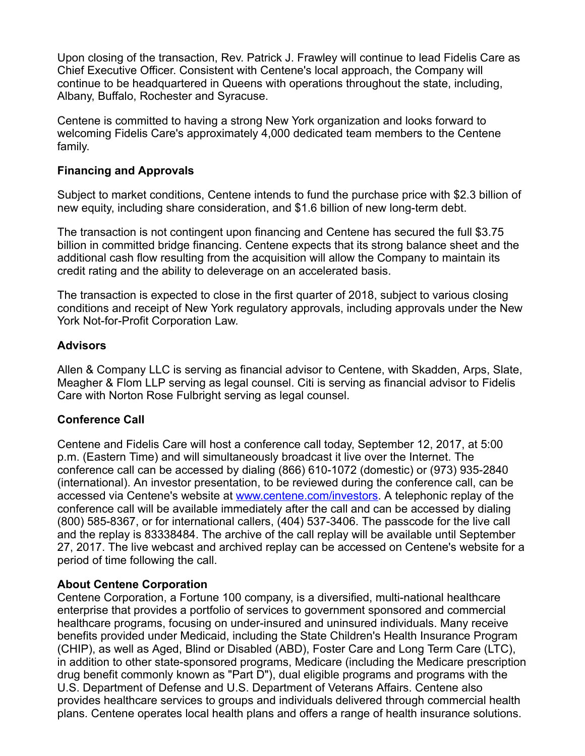Upon closing of the transaction, Rev. Patrick J. Frawley will continue to lead Fidelis Care as Chief Executive Officer. Consistent with Centene's local approach, the Company will continue to be headquartered in Queens with operations throughout the state, including, Albany, Buffalo, Rochester and Syracuse.

Centene is committed to having a strong New York organization and looks forward to welcoming Fidelis Care's approximately 4,000 dedicated team members to the Centene family.

#### **Financing and Approvals**

Subject to market conditions, Centene intends to fund the purchase price with \$2.3 billion of new equity, including share consideration, and \$1.6 billion of new long-term debt.

The transaction is not contingent upon financing and Centene has secured the full \$3.75 billion in committed bridge financing. Centene expects that its strong balance sheet and the additional cash flow resulting from the acquisition will allow the Company to maintain its credit rating and the ability to deleverage on an accelerated basis.

The transaction is expected to close in the first quarter of 2018, subject to various closing conditions and receipt of New York regulatory approvals, including approvals under the New York Not-for-Profit Corporation Law.

### **Advisors**

Allen & Company LLC is serving as financial advisor to Centene, with Skadden, Arps, Slate, Meagher & Flom LLP serving as legal counsel. Citi is serving as financial advisor to Fidelis Care with Norton Rose Fulbright serving as legal counsel.

## **Conference Call**

Centene and Fidelis Care will host a conference call today, September 12, 2017, at 5:00 p.m. (Eastern Time) and will simultaneously broadcast it live over the Internet. The conference call can be accessed by dialing (866) 610-1072 (domestic) or (973) 935-2840 (international). An investor presentation, to be reviewed during the conference call, can be accessed via Centene's website at [www.centene.com/investors.](http://www.centene.com/investors) A telephonic replay of the conference call will be available immediately after the call and can be accessed by dialing (800) 585-8367, or for international callers, (404) 537-3406. The passcode for the live call and the replay is 83338484. The archive of the call replay will be available until September 27, 2017. The live webcast and archived replay can be accessed on Centene's website for a period of time following the call.

#### **About Centene Corporation**

Centene Corporation, a Fortune 100 company, is a diversified, multi-national healthcare enterprise that provides a portfolio of services to government sponsored and commercial healthcare programs, focusing on under-insured and uninsured individuals. Many receive benefits provided under Medicaid, including the State Children's Health Insurance Program (CHIP), as well as Aged, Blind or Disabled (ABD), Foster Care and Long Term Care (LTC), in addition to other state-sponsored programs, Medicare (including the Medicare prescription drug benefit commonly known as "Part D"), dual eligible programs and programs with the U.S. Department of Defense and U.S. Department of Veterans Affairs. Centene also provides healthcare services to groups and individuals delivered through commercial health plans. Centene operates local health plans and offers a range of health insurance solutions.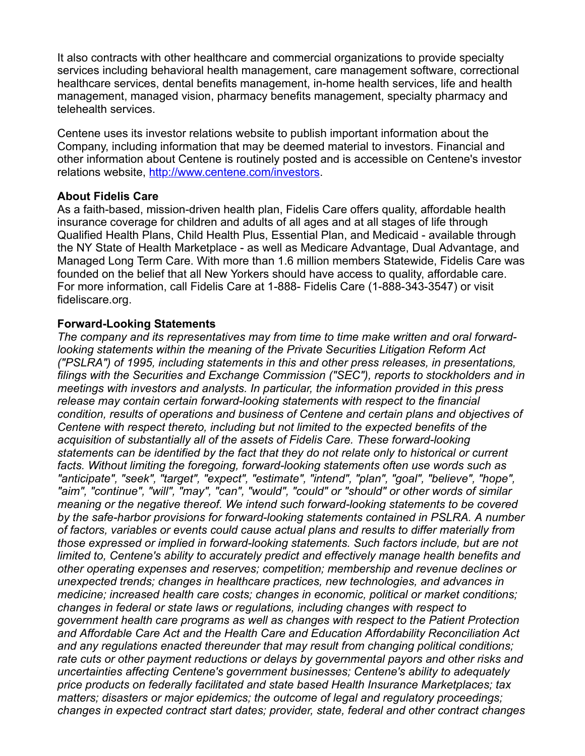It also contracts with other healthcare and commercial organizations to provide specialty services including behavioral health management, care management software, correctional healthcare services, dental benefits management, in-home health services, life and health management, managed vision, pharmacy benefits management, specialty pharmacy and telehealth services.

Centene uses its investor relations website to publish important information about the Company, including information that may be deemed material to investors. Financial and other information about Centene is routinely posted and is accessible on Centene's investor relations website, <http://www.centene.com/investors>.

#### **About Fidelis Care**

As a faith-based, mission-driven health plan, Fidelis Care offers quality, affordable health insurance coverage for children and adults of all ages and at all stages of life through Qualified Health Plans, Child Health Plus, Essential Plan, and Medicaid - available through the NY State of Health Marketplace - as well as Medicare Advantage, Dual Advantage, and Managed Long Term Care. With more than 1.6 million members Statewide, Fidelis Care was founded on the belief that all New Yorkers should have access to quality, affordable care. For more information, call Fidelis Care at 1-888- Fidelis Care (1-888-343-3547) or visit fideliscare.org.

#### **Forward-Looking Statements**

*The company and its representatives may from time to time make written and oral forwardlooking statements within the meaning of the Private Securities Litigation Reform Act ("PSLRA") of 1995, including statements in this and other press releases, in presentations, filings with the Securities and Exchange Commission ("SEC"), reports to stockholders and in meetings with investors and analysts. In particular, the information provided in this press release may contain certain forward-looking statements with respect to the financial condition, results of operations and business of Centene and certain plans and objectives of Centene with respect thereto, including but not limited to the expected benefits of the acquisition of substantially all of the assets of Fidelis Care. These forward-looking statements can be identified by the fact that they do not relate only to historical or current facts. Without limiting the foregoing, forward-looking statements often use words such as "anticipate", "seek", "target", "expect", "estimate", "intend", "plan", "goal", "believe", "hope", "aim", "continue", "will", "may", "can", "would", "could" or "should" or other words of similar meaning or the negative thereof. We intend such forward-looking statements to be covered by the safe-harbor provisions for forward-looking statements contained in PSLRA. A number of factors, variables or events could cause actual plans and results to differ materially from those expressed or implied in forward-looking statements. Such factors include, but are not limited to, Centene's ability to accurately predict and effectively manage health benefits and other operating expenses and reserves; competition; membership and revenue declines or unexpected trends; changes in healthcare practices, new technologies, and advances in medicine; increased health care costs; changes in economic, political or market conditions; changes in federal or state laws or regulations, including changes with respect to government health care programs as well as changes with respect to the Patient Protection and Affordable Care Act and the Health Care and Education Affordability Reconciliation Act and any regulations enacted thereunder that may result from changing political conditions; rate cuts or other payment reductions or delays by governmental payors and other risks and uncertainties affecting Centene's government businesses; Centene's ability to adequately price products on federally facilitated and state based Health Insurance Marketplaces; tax matters; disasters or major epidemics; the outcome of legal and regulatory proceedings; changes in expected contract start dates; provider, state, federal and other contract changes*